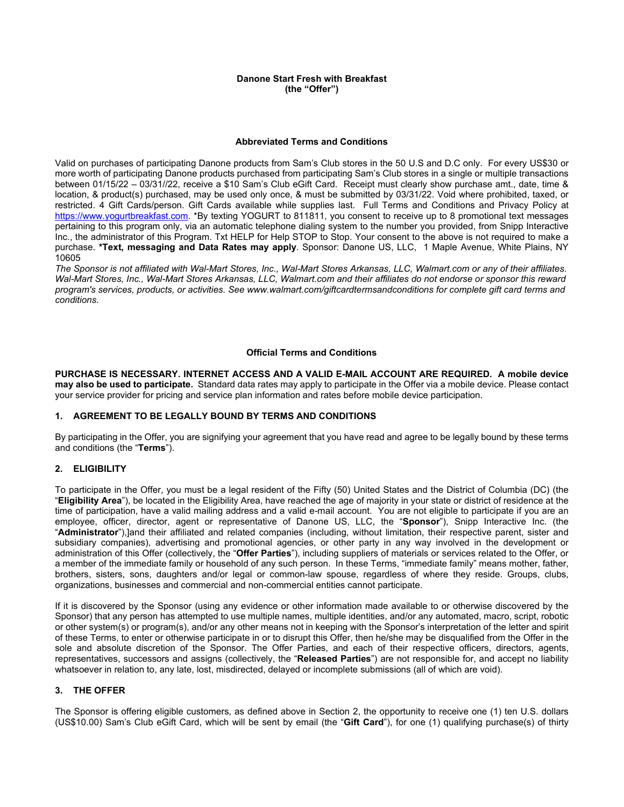#### **Danone Start Fresh with Breakfast (the "Offer")**

#### **Abbreviated Terms and Conditions**

Valid on purchases of participating Danone products from Sam's Club stores in the 50 U.S and D.C only. For every US\$30 or more worth of participating Danone products purchased from participating Sam's Club stores in a single or multiple transactions between 01/15/22 – 03/31//22, receive a \$10 Sam's Club eGift Card. Receipt must clearly show purchase amt., date, time & location, & product(s) purchased, may be used only once, & must be submitted by 03/31/22. Void where prohibited, taxed, or restricted. 4 Gift Cards/person. Gift Cards available while supplies last. Full Terms and Conditions and Privacy Policy at [https://www.yogurtbreakfast.com.](https://www.yogurtbreakfast.com/) \*By texting YOGURT to 811811, you consent to receive up to 8 promotional text messages pertaining to this program only, via an automatic telephone dialing system to the number you provided, from Snipp Interactive Inc., the administrator of this Program. Txt HELP for Help STOP to Stop. Your consent to the above is not required to make a purchase. **\*Text, messaging and Data Rates may apply**. Sponsor: Danone US, LLC, 1 Maple Avenue, White Plains, NY 10605

*The Sponsor is not affiliated with Wal-Mart Stores, Inc., Wal-Mart Stores Arkansas, LLC, Walmart.com or any of their affiliates. Wal-Mart Stores, Inc., Wal-Mart Stores Arkansas, LLC, Walmart.com and their affiliates do not endorse or sponsor this reward program's services, products, or activities. See [www.walmart.com/giftcardtermsandconditions](http://www.walmart.com/giftcardtermsandconditions) for complete gift card terms and conditions.*

## **Official Terms and Conditions**

**PURCHASE IS NECESSARY. INTERNET ACCESS AND A VALID E-MAIL ACCOUNT ARE REQUIRED. A mobile device may also be used to participate.** Standard data rates may apply to participate in the Offer via a mobile device. Please contact your service provider for pricing and service plan information and rates before mobile device participation.

# **1. AGREEMENT TO BE LEGALLY BOUND BY TERMS AND CONDITIONS**

By participating in the Offer, you are signifying your agreement that you have read and agree to be legally bound by these terms and conditions (the "**Terms**").

## **2. ELIGIBILITY**

To participate in the Offer, you must be a legal resident of the Fifty (50) United States and the District of Columbia (DC) (the "**Eligibility Area**"), be located in the Eligibility Area, have reached the age of majority in your state or district of residence at the time of participation, have a valid mailing address and a valid e-mail account. You are not eligible to participate if you are an employee, officer, director, agent or representative of Danone US, LLC, the "**Sponsor**"), Snipp Interactive Inc. (the "**Administrator**"),]and their affiliated and related companies (including, without limitation, their respective parent, sister and subsidiary companies), advertising and promotional agencies, or other party in any way involved in the development or administration of this Offer (collectively, the "**Offer Parties**"), including suppliers of materials or services related to the Offer, or a member of the immediate family or household of any such person. In these Terms, "immediate family" means mother, father, brothers, sisters, sons, daughters and/or legal or common-law spouse, regardless of where they reside. Groups, clubs, organizations, businesses and commercial and non-commercial entities cannot participate.

If it is discovered by the Sponsor (using any evidence or other information made available to or otherwise discovered by the Sponsor) that any person has attempted to use multiple names, multiple identities, and/or any automated, macro, script, robotic or other system(s) or program(s), and/or any other means not in keeping with the Sponsor's interpretation of the letter and spirit of these Terms, to enter or otherwise participate in or to disrupt this Offer, then he/she may be disqualified from the Offer in the sole and absolute discretion of the Sponsor. The Offer Parties, and each of their respective officers, directors, agents, representatives, successors and assigns (collectively, the "**Released Parties**") are not responsible for, and accept no liability whatsoever in relation to, any late, lost, misdirected, delayed or incomplete submissions (all of which are void).

# **3. THE OFFER**

The Sponsor is offering eligible customers, as defined above in Section 2, the opportunity to receive one (1) ten U.S. dollars (US\$10.00) Sam's Club eGift Card, which will be sent by email (the "**Gift Card**"), for one (1) qualifying purchase(s) of thirty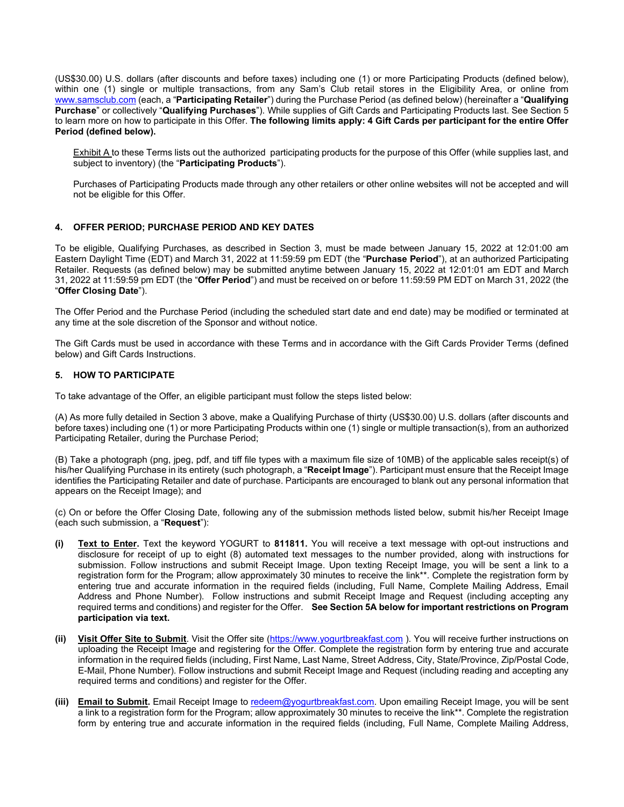(US\$30.00) U.S. dollars (after discounts and before taxes) including one (1) or more Participating Products (defined below), within one (1) single or multiple transactions, from any Sam's Club retail stores in the Eligibility Area, or online from [www.samsclub.com](http://www.samsclub.com/) (each, a "**Participating Retailer**") during the Purchase Period (as defined below) (hereinafter a "**Qualifying Purchase**" or collectively "**Qualifying Purchases**"). While supplies of Gift Cards and Participating Products last. See Section 5 to learn more on how to participate in this Offer. **The following limits apply: 4 Gift Cards per participant for the entire Offer Period (defined below).**

Exhibit A to these Terms lists out the authorized participating products for the purpose of this Offer (while supplies last, and subject to inventory) (the "**Participating Products**").

Purchases of Participating Products made through any other retailers or other online websites will not be accepted and will not be eligible for this Offer.

## **4. OFFER PERIOD; PURCHASE PERIOD AND KEY DATES**

To be eligible, Qualifying Purchases, as described in Section 3, must be made between January 15, 2022 at 12:01:00 am Eastern Daylight Time (EDT) and March 31, 2022 at 11:59:59 pm EDT (the "**Purchase Period**"), at an authorized Participating Retailer. Requests (as defined below) may be submitted anytime between January 15, 2022 at 12:01:01 am EDT and March 31, 2022 at 11:59:59 pm EDT (the "**Offer Period**") and must be received on or before 11:59:59 PM EDT on March 31, 2022 (the "**Offer Closing Date**").

The Offer Period and the Purchase Period (including the scheduled start date and end date) may be modified or terminated at any time at the sole discretion of the Sponsor and without notice.

The Gift Cards must be used in accordance with these Terms and in accordance with the Gift Cards Provider Terms (defined below) and Gift Cards Instructions.

# **5. HOW TO PARTICIPATE**

To take advantage of the Offer, an eligible participant must follow the steps listed below:

(A) As more fully detailed in Section 3 above, make a Qualifying Purchase of thirty (US\$30.00) U.S. dollars (after discounts and before taxes) including one (1) or more Participating Products within one (1) single or multiple transaction(s), from an authorized Participating Retailer, during the Purchase Period;

(B) Take a photograph (png, jpeg, pdf, and tiff file types with a maximum file size of 10MB) of the applicable sales receipt(s) of his/her Qualifying Purchase in its entirety (such photograph, a "**Receipt Image**"). Participant must ensure that the Receipt Image identifies the Participating Retailer and date of purchase. Participants are encouraged to blank out any personal information that appears on the Receipt Image); and

(c) On or before the Offer Closing Date, following any of the submission methods listed below, submit his/her Receipt Image (each such submission, a "**Request**"):

- **(i) Text to Enter.** Text the keyword YOGURT to **811811.** You will receive a text message with opt-out instructions and disclosure for receipt of up to eight (8) automated text messages to the number provided, along with instructions for submission. Follow instructions and submit Receipt Image. Upon texting Receipt Image, you will be sent a link to a registration form for the Program; allow approximately 30 minutes to receive the link\*\*. Complete the registration form by entering true and accurate information in the required fields (including, Full Name, Complete Mailing Address, Email Address and Phone Number). Follow instructions and submit Receipt Image and Request (including accepting any required terms and conditions) and register for the Offer. **See Section 5A below for important restrictions on Program participation via text.**
- **(ii) Visit Offer Site to Submit**. Visit the Offer site [\(https://www.yogurtbreakfast.com](https://www.yogurtbreakfast.com/) ). You will receive further instructions on uploading the Receipt Image and registering for the Offer. Complete the registration form by entering true and accurate information in the required fields (including, First Name, Last Name, Street Address, City, State/Province, Zip/Postal Code, E-Mail, Phone Number). Follow instructions and submit Receipt Image and Request (including reading and accepting any required terms and conditions) and register for the Offer.
- **(iii) Email to Submit.** Email Receipt Image to [redeem@yogurtbreakfast.com.](mailto:redeem@yogurtbreakfast.com) Upon emailing Receipt Image, you will be sent a link to a registration form for the Program; allow approximately 30 minutes to receive the link\*\*. Complete the registration form by entering true and accurate information in the required fields (including, Full Name, Complete Mailing Address,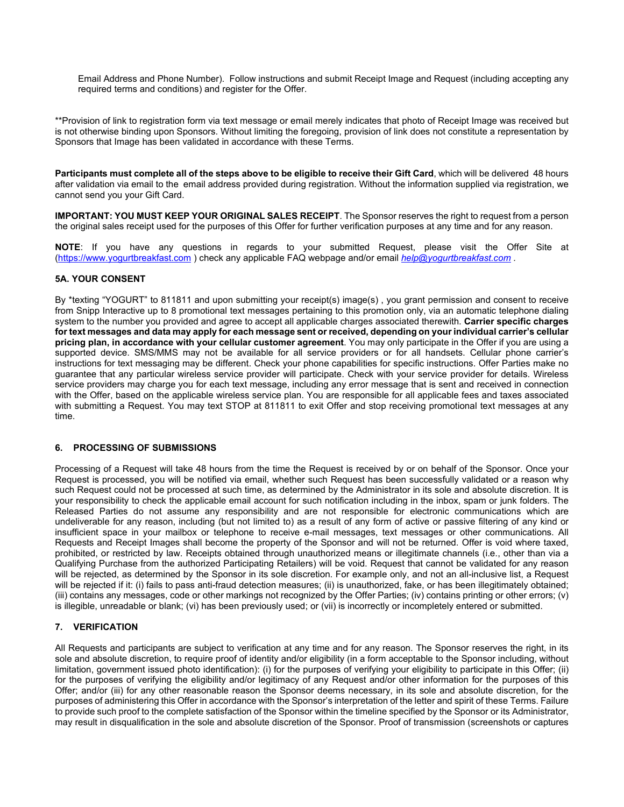Email Address and Phone Number). Follow instructions and submit Receipt Image and Request (including accepting any required terms and conditions) and register for the Offer.

\*\*Provision of link to registration form via text message or email merely indicates that photo of Receipt Image was received but is not otherwise binding upon Sponsors. Without limiting the foregoing, provision of link does not constitute a representation by Sponsors that Image has been validated in accordance with these Terms.

**Participants must complete all of the steps above to be eligible to receive their Gift Card**, which will be delivered 48 hours after validation via email to the email address provided during registration. Without the information supplied via registration, we cannot send you your Gift Card.

**IMPORTANT: YOU MUST KEEP YOUR ORIGINAL SALES RECEIPT**. The Sponsor reserves the right to request from a person the original sales receipt used for the purposes of this Offer for further verification purposes at any time and for any reason.

**NOTE**: If you have any questions in regards to your submitted Request, please visit the Offer Site at [\(https://www.yogurtbreakfast.com](https://www.yogurtbreakfast.com/) ) check any applicable FAQ webpage and/or email *[help@yogurtbreakfast.com](mailto:help@yogurtbreakfast.com) .*

# **5A. YOUR CONSENT**

By \*texting "YOGURT" to 811811 and upon submitting your receipt(s) image(s) , you grant permission and consent to receive from Snipp Interactive up to 8 promotional text messages pertaining to this promotion only, via an automatic telephone dialing system to the number you provided and agree to accept all applicable charges associated therewith. **Carrier specific charges for text messages and data may apply for each message sent or received, depending on your individual carrier's cellular pricing plan, in accordance with your cellular customer agreement**. You may only participate in the Offer if you are using a supported device. SMS/MMS may not be available for all service providers or for all handsets. Cellular phone carrier's instructions for text messaging may be different. Check your phone capabilities for specific instructions. Offer Parties make no guarantee that any particular wireless service provider will participate. Check with your service provider for details. Wireless service providers may charge you for each text message, including any error message that is sent and received in connection with the Offer, based on the applicable wireless service plan. You are responsible for all applicable fees and taxes associated with submitting a Request. You may text STOP at 811811 to exit Offer and stop receiving promotional text messages at any time.

#### **6. PROCESSING OF SUBMISSIONS**

Processing of a Request will take 48 hours from the time the Request is received by or on behalf of the Sponsor. Once your Request is processed, you will be notified via email, whether such Request has been successfully validated or a reason why such Request could not be processed at such time, as determined by the Administrator in its sole and absolute discretion. It is your responsibility to check the applicable email account for such notification including in the inbox, spam or junk folders. The Released Parties do not assume any responsibility and are not responsible for electronic communications which are undeliverable for any reason, including (but not limited to) as a result of any form of active or passive filtering of any kind or insufficient space in your mailbox or telephone to receive e-mail messages, text messages or other communications. All Requests and Receipt Images shall become the property of the Sponsor and will not be returned. Offer is void where taxed, prohibited, or restricted by law. Receipts obtained through unauthorized means or illegitimate channels (i.e., other than via a Qualifying Purchase from the authorized Participating Retailers) will be void. Request that cannot be validated for any reason will be rejected, as determined by the Sponsor in its sole discretion. For example only, and not an all-inclusive list, a Request will be rejected if it: (i) fails to pass anti-fraud detection measures; (ii) is unauthorized, fake, or has been illegitimately obtained; (iii) contains any messages, code or other markings not recognized by the Offer Parties; (iv) contains printing or other errors; (v) is illegible, unreadable or blank; (vi) has been previously used; or (vii) is incorrectly or incompletely entered or submitted.

# **7. VERIFICATION**

All Requests and participants are subject to verification at any time and for any reason. The Sponsor reserves the right, in its sole and absolute discretion, to require proof of identity and/or eligibility (in a form acceptable to the Sponsor including, without limitation, government issued photo identification): (i) for the purposes of verifying your eligibility to participate in this Offer; (ii) for the purposes of verifying the eligibility and/or legitimacy of any Request and/or other information for the purposes of this Offer; and/or (iii) for any other reasonable reason the Sponsor deems necessary, in its sole and absolute discretion, for the purposes of administering this Offer in accordance with the Sponsor's interpretation of the letter and spirit of these Terms. Failure to provide such proof to the complete satisfaction of the Sponsor within the timeline specified by the Sponsor or its Administrator, may result in disqualification in the sole and absolute discretion of the Sponsor. Proof of transmission (screenshots or captures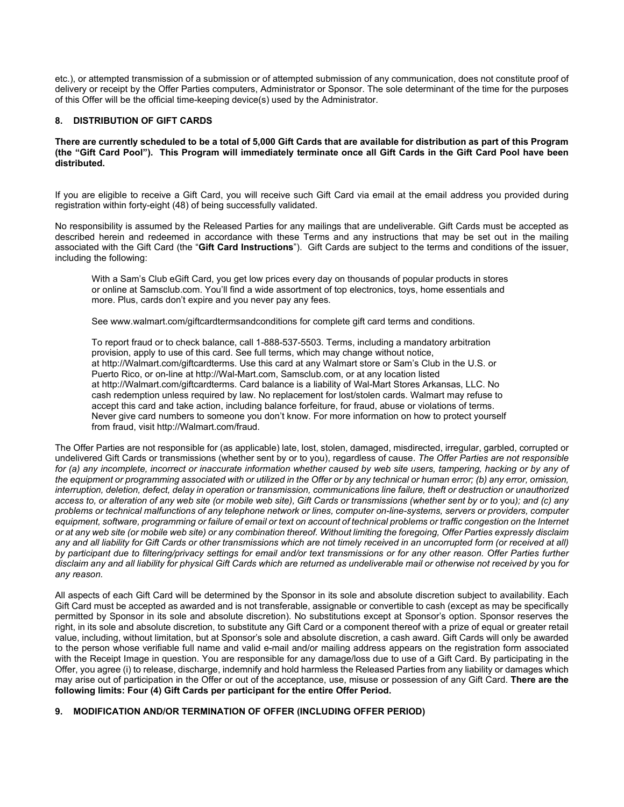etc.), or attempted transmission of a submission or of attempted submission of any communication, does not constitute proof of delivery or receipt by the Offer Parties computers, Administrator or Sponsor. The sole determinant of the time for the purposes of this Offer will be the official time-keeping device(s) used by the Administrator.

# **8. DISTRIBUTION OF GIFT CARDS**

#### **There are currently scheduled to be a total of 5,000 Gift Cards that are available for distribution as part of this Program (the "Gift Card Pool"). This Program will immediately terminate once all Gift Cards in the Gift Card Pool have been distributed.**

If you are eligible to receive a Gift Card, you will receive such Gift Card via email at the email address you provided during registration within forty-eight (48) of being successfully validated.

No responsibility is assumed by the Released Parties for any mailings that are undeliverable. Gift Cards must be accepted as described herein and redeemed in accordance with these Terms and any instructions that may be set out in the mailing associated with the Gift Card (the "**Gift Card Instructions**"). Gift Cards are subject to the terms and conditions of the issuer, including the following:

With a Sam's Club eGift Card, you get low prices every day on thousands of popular products in stores or online at Samsclub.com. You'll find a wide assortment of top electronics, toys, home essentials and more. Plus, cards don't expire and you never pay any fees.

See [www.walmart.com/giftcardtermsandconditions](http://www.walmart.com/giftcardtermsandconditions) for complete gift card terms and conditions.

To report fraud or to check balance, call 1-888-537-5503. Terms, including a mandatory arbitration provision, apply to use of this card. See full terms, which may change without notice, at [http://Walmart.com/giftcardterms.](http://walmart.com/giftcardterms) Use this card at any Walmart store or Sam's Club in the U.S. or Puerto Rico, or on-line at [http://Wal-Mart.com,](http://wal-mart.com/) Samsclub.com, or at any location listed at [http://Walmart.com/giftcardterms.](http://walmart.com/giftcardterms) Card balance is a liability of Wal-Mart Stores Arkansas, LLC. No cash redemption unless required by law. No replacement for lost/stolen cards. Walmart may refuse to accept this card and take action, including balance forfeiture, for fraud, abuse or violations of terms. Never give card numbers to someone you don't know. For more information on how to protect yourself from fraud, visit [http://Walmart.com/fraud.](http://walmart.com/fraud)

The Offer Parties are not responsible for (as applicable) late, lost, stolen, damaged, misdirected, irregular, garbled, corrupted or undelivered Gift Cards or transmissions (whether sent by or to you), regardless of cause. *The Offer Parties are not responsible for (a) any incomplete, incorrect or inaccurate information whether caused by web site users, tampering, hacking or by any of the equipment or programming associated with or utilized in the Offer or by any technical or human error; (b) any error, omission, interruption, deletion, defect, delay in operation or transmission, communications line failure, theft or destruction or unauthorized access to, or alteration of any web site (or mobile web site), Gift Cards or transmissions (whether sent by or to you); and (c) any problems or technical malfunctions of any telephone network or lines, computer on-line-systems, servers or providers, computer equipment, software, programming or failure of email or text on account of technical problems or traffic congestion on the Internet or at any web site (or mobile web site) or any combination thereof. Without limiting the foregoing, Offer Parties expressly disclaim any and all liability for Gift Cards or other transmissions which are not timely received in an uncorrupted form (or received at all) by participant due to filtering/privacy settings for email and/or text transmissions or for any other reason. Offer Parties further disclaim any and all liability for physical Gift Cards which are returned as undeliverable mail or otherwise not received by* you *for any reason.* 

All aspects of each Gift Card will be determined by the Sponsor in its sole and absolute discretion subject to availability. Each Gift Card must be accepted as awarded and is not transferable, assignable or convertible to cash (except as may be specifically permitted by Sponsor in its sole and absolute discretion). No substitutions except at Sponsor's option. Sponsor reserves the right, in its sole and absolute discretion, to substitute any Gift Card or a component thereof with a prize of equal or greater retail value, including, without limitation, but at Sponsor's sole and absolute discretion, a cash award. Gift Cards will only be awarded to the person whose verifiable full name and valid e-mail and/or mailing address appears on the registration form associated with the Receipt Image in question. You are responsible for any damage/loss due to use of a Gift Card. By participating in the Offer, you agree (i) to release, discharge, indemnify and hold harmless the Released Parties from any liability or damages which may arise out of participation in the Offer or out of the acceptance, use, misuse or possession of any Gift Card. **There are the following limits: Four (4) Gift Cards per participant for the entire Offer Period.**

# **9. MODIFICATION AND/OR TERMINATION OF OFFER (INCLUDING OFFER PERIOD)**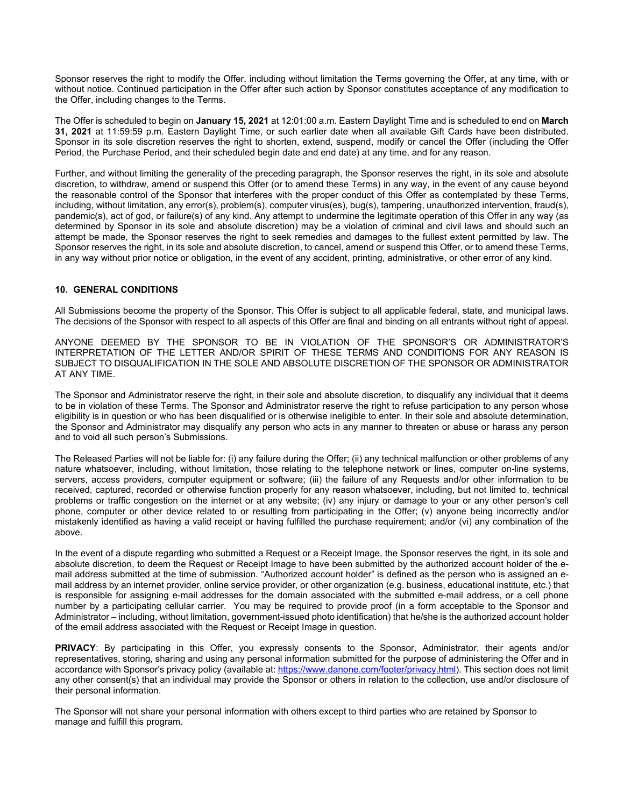Sponsor reserves the right to modify the Offer, including without limitation the Terms governing the Offer, at any time, with or without notice. Continued participation in the Offer after such action by Sponsor constitutes acceptance of any modification to the Offer, including changes to the Terms.

The Offer is scheduled to begin on **January 15, 2021** at 12:01:00 a.m. Eastern Daylight Time and is scheduled to end on **March 31, 2021** at 11:59:59 p.m. Eastern Daylight Time, or such earlier date when all available Gift Cards have been distributed. Sponsor in its sole discretion reserves the right to shorten, extend, suspend, modify or cancel the Offer (including the Offer Period, the Purchase Period, and their scheduled begin date and end date) at any time, and for any reason.

Further, and without limiting the generality of the preceding paragraph, the Sponsor reserves the right, in its sole and absolute discretion, to withdraw, amend or suspend this Offer (or to amend these Terms) in any way, in the event of any cause beyond the reasonable control of the Sponsor that interferes with the proper conduct of this Offer as contemplated by these Terms, including, without limitation, any error(s), problem(s), computer virus(es), bug(s), tampering, unauthorized intervention, fraud(s), pandemic(s), act of god, or failure(s) of any kind. Any attempt to undermine the legitimate operation of this Offer in any way (as determined by Sponsor in its sole and absolute discretion) may be a violation of criminal and civil laws and should such an attempt be made, the Sponsor reserves the right to seek remedies and damages to the fullest extent permitted by law. The Sponsor reserves the right, in its sole and absolute discretion, to cancel, amend or suspend this Offer, or to amend these Terms, in any way without prior notice or obligation, in the event of any accident, printing, administrative, or other error of any kind.

# **10. GENERAL CONDITIONS**

All Submissions become the property of the Sponsor. This Offer is subject to all applicable federal, state, and municipal laws. The decisions of the Sponsor with respect to all aspects of this Offer are final and binding on all entrants without right of appeal.

ANYONE DEEMED BY THE SPONSOR TO BE IN VIOLATION OF THE SPONSOR'S OR ADMINISTRATOR'S INTERPRETATION OF THE LETTER AND/OR SPIRIT OF THESE TERMS AND CONDITIONS FOR ANY REASON IS SUBJECT TO DISQUALIFICATION IN THE SOLE AND ABSOLUTE DISCRETION OF THE SPONSOR OR ADMINISTRATOR AT ANY TIME.

The Sponsor and Administrator reserve the right, in their sole and absolute discretion, to disqualify any individual that it deems to be in violation of these Terms. The Sponsor and Administrator reserve the right to refuse participation to any person whose eligibility is in question or who has been disqualified or is otherwise ineligible to enter. In their sole and absolute determination, the Sponsor and Administrator may disqualify any person who acts in any manner to threaten or abuse or harass any person and to void all such person's Submissions.

The Released Parties will not be liable for: (i) any failure during the Offer; (ii) any technical malfunction or other problems of any nature whatsoever, including, without limitation, those relating to the telephone network or lines, computer on-line systems, servers, access providers, computer equipment or software; (iii) the failure of any Requests and/or other information to be received, captured, recorded or otherwise function properly for any reason whatsoever, including, but not limited to, technical problems or traffic congestion on the internet or at any website; (iv) any injury or damage to your or any other person's cell phone, computer or other device related to or resulting from participating in the Offer; (v) anyone being incorrectly and/or mistakenly identified as having a valid receipt or having fulfilled the purchase requirement; and/or (vi) any combination of the above.

In the event of a dispute regarding who submitted a Request or a Receipt Image, the Sponsor reserves the right, in its sole and absolute discretion, to deem the Request or Receipt Image to have been submitted by the authorized account holder of the email address submitted at the time of submission. "Authorized account holder" is defined as the person who is assigned an email address by an internet provider, online service provider, or other organization (e.g. business, educational institute, etc.) that is responsible for assigning e-mail addresses for the domain associated with the submitted e-mail address, or a cell phone number by a participating cellular carrier. You may be required to provide proof (in a form acceptable to the Sponsor and Administrator – including, without limitation, government-issued photo identification) that he/she is the authorized account holder of the email address associated with the Request or Receipt Image in question.

**PRIVACY**: By participating in this Offer, you expressly consents to the Sponsor, Administrator, their agents and/or representatives, storing, sharing and using any personal information submitted for the purpose of administering the Offer and in accordance with Sponsor's privacy policy (available at: [https://www.danone.com/footer/privacy.html\)](https://www.danone.com/footer/privacy.html). This section does not limit any other consent(s) that an individual may provide the Sponsor or others in relation to the collection, use and/or disclosure of their personal information.

The Sponsor will not share your personal information with others except to third parties who are retained by Sponsor to manage and fulfill this program.